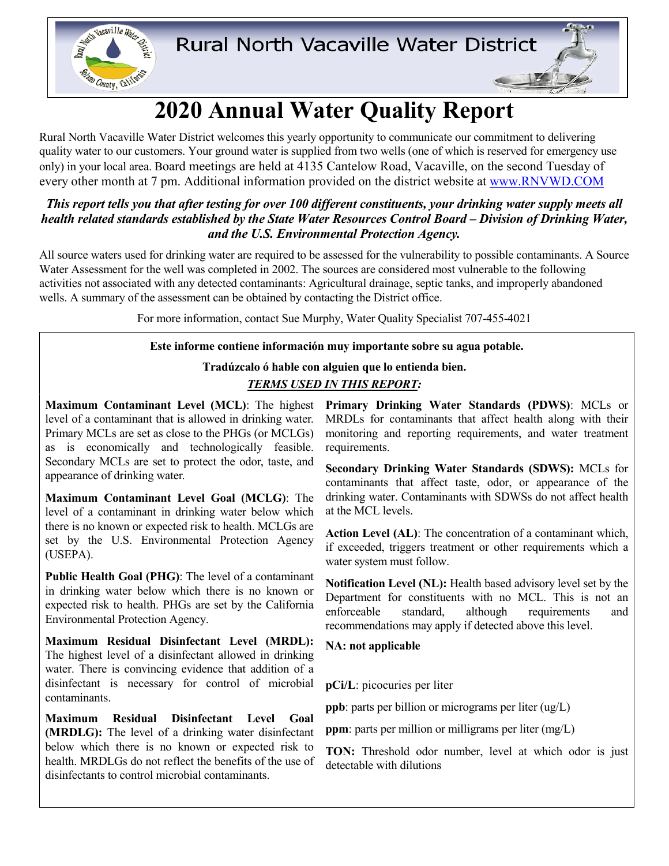

# **2020 Annual Water Quality Report**

Rural North Vacaville Water District welcomes this yearly opportunity to communicate our commitment to delivering quality water to our customers. Your ground water is supplied from two wells (one of which is reserved for emergency use only) in your local area. Board meetings are held at 4135 Cantelow Road, Vacaville, on the second Tuesday of every other month at 7 pm. Additional information provided on the district website at [www.RNVWD.COM](http://www.rnvwd.com/)

### *This report tells you that after testing for over 100 different constituents, your drinking water supply meets all health related standards established by the State Water Resources Control Board – Division of Drinking Water, and the U.S. Environmental Protection Agency.*

All source waters used for drinking water are required to be assessed for the vulnerability to possible contaminants. A Source Water Assessment for the well was completed in 2002. The sources are considered most vulnerable to the following activities not associated with any detected contaminants: Agricultural drainage, septic tanks, and improperly abandoned wells. A summary of the assessment can be obtained by contacting the District office.

For more information, contact Sue Murphy, Water Quality Specialist 707-455-4021

#### **Este informe contiene información muy importante sobre su agua potable.**

## **Tradúzcalo ó hable con alguien que lo entienda bien.** *TERMS USED IN THIS REPORT:*

level of a contaminant that is allowed in drinking water. Primary MCLs are set as close to the PHGs (or MCLGs) as is economically and technologically feasible. Secondary MCLs are set to protect the odor, taste, and appearance of drinking water.

**Maximum Contaminant Level Goal (MCLG)**: The level of a contaminant in drinking water below which there is no known or expected risk to health. MCLGs are set by the U.S. Environmental Protection Agency (USEPA).

**Public Health Goal (PHG)**: The level of a contaminant in drinking water below which there is no known or expected risk to health. PHGs are set by the California Environmental Protection Agency.

**Maximum Residual Disinfectant Level (MRDL):** The highest level of a disinfectant allowed in drinking water. There is convincing evidence that addition of a disinfectant is necessary for control of microbial contaminants.

**Maximum Residual Disinfectant Level Goal (MRDLG):** The level of a drinking water disinfectant below which there is no known or expected risk to health. MRDLGs do not reflect the benefits of the use of disinfectants to control microbial contaminants.

**Maximum Contaminant Level (MCL)**: The highest **Primary Drinking Water Standards (PDWS)**: MCLs or MRDLs for contaminants that affect health along with their monitoring and reporting requirements, and water treatment requirements.

> **Secondary Drinking Water Standards (SDWS):** MCLs for contaminants that affect taste, odor, or appearance of the drinking water. Contaminants with SDWSs do not affect health at the MCL levels.

> **Action Level (AL)**: The concentration of a contaminant which, if exceeded, triggers treatment or other requirements which a water system must follow.

> **Notification Level (NL):** Health based advisory level set by the Department for constituents with no MCL. This is not an enforceable standard, although requirements and recommendations may apply if detected above this level.

**NA: not applicable**

**pCi/L**: picocuries per liter

**ppb**: parts per billion or micrograms per liter (ug/L)

**ppm**: parts per million or milligrams per liter (mg/L)

**TON:** Threshold odor number, level at which odor is just detectable with dilutions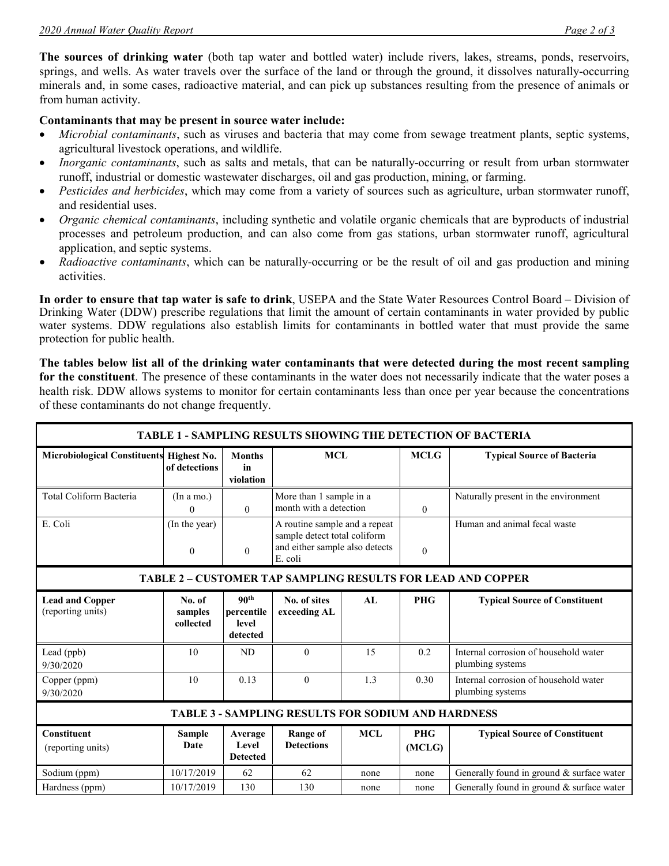**The sources of drinking water** (both tap water and bottled water) include rivers, lakes, streams, ponds, reservoirs, springs, and wells. As water travels over the surface of the land or through the ground, it dissolves naturally-occurring minerals and, in some cases, radioactive material, and can pick up substances resulting from the presence of animals or from human activity.

#### **Contaminants that may be present in source water include:**

- *Microbial contaminants*, such as viruses and bacteria that may come from sewage treatment plants, septic systems, agricultural livestock operations, and wildlife.
- *Inorganic contaminants*, such as salts and metals, that can be naturally-occurring or result from urban stormwater runoff, industrial or domestic wastewater discharges, oil and gas production, mining, or farming.
- *Pesticides and herbicides*, which may come from a variety of sources such as agriculture, urban stormwater runoff, and residential uses.
- *Organic chemical contaminants*, including synthetic and volatile organic chemicals that are byproducts of industrial processes and petroleum production, and can also come from gas stations, urban stormwater runoff, agricultural application, and septic systems.
- *Radioactive contaminants*, which can be naturally-occurring or be the result of oil and gas production and mining activities.

**In order to ensure that tap water is safe to drink**, USEPA and the State Water Resources Control Board – Division of Drinking Water (DDW) prescribe regulations that limit the amount of certain contaminants in water provided by public water systems. DDW regulations also establish limits for contaminants in bottled water that must provide the same protection for public health.

**The tables below list all of the drinking water contaminants that were detected during the most recent sampling for the constituent**. The presence of these contaminants in the water does not necessarily indicate that the water poses a health risk. DDW allows systems to monitor for certain contaminants less than once per year because the concentrations of these contaminants do not change frequently.

| TABLE 1 - SAMPLING RESULTS SHOWING THE DETECTION OF BACTERIA       |                                |                                                     |                                                                                                            |            |                      |                                                           |  |  |  |  |
|--------------------------------------------------------------------|--------------------------------|-----------------------------------------------------|------------------------------------------------------------------------------------------------------------|------------|----------------------|-----------------------------------------------------------|--|--|--|--|
| Microbiological Constituents Highest No.                           | of detections                  | <b>Months</b><br>in<br>violation                    | <b>MCL</b>                                                                                                 |            | <b>MCLG</b>          | <b>Typical Source of Bacteria</b>                         |  |  |  |  |
| Total Coliform Bacteria                                            | (In a mo.)<br>0                | $\theta$                                            | More than 1 sample in a<br>month with a detection                                                          |            | $\theta$             | Naturally present in the environment                      |  |  |  |  |
| E. Coli                                                            | (In the year)<br>$\mathbf{0}$  | $\mathbf{0}$                                        | A routine sample and a repeat<br>sample detect total coliform<br>and either sample also detects<br>E. coli |            | $\mathbf{0}$         | Human and animal fecal waste                              |  |  |  |  |
| <b>TABLE 2 - CUSTOMER TAP SAMPLING RESULTS FOR LEAD AND COPPER</b> |                                |                                                     |                                                                                                            |            |                      |                                                           |  |  |  |  |
| <b>Lead and Copper</b><br>(reporting units)                        | No. of<br>samples<br>collected | 90 <sup>th</sup><br>percentile<br>level<br>detected | No. of sites<br>exceeding AL                                                                               | AI.        | <b>PHG</b>           | <b>Typical Source of Constituent</b>                      |  |  |  |  |
| Lead (ppb)<br>9/30/2020                                            | 10                             | ND                                                  | $\theta$                                                                                                   | 15         | 0.2                  | Internal corrosion of household water<br>plumbing systems |  |  |  |  |
| Copper (ppm)<br>9/30/2020                                          | 10                             | 0.13                                                | $\theta$                                                                                                   | 1.3        | 0.30                 | Internal corrosion of household water<br>plumbing systems |  |  |  |  |
| <b>TABLE 3 - SAMPLING RESULTS FOR SODIUM AND HARDNESS</b>          |                                |                                                     |                                                                                                            |            |                      |                                                           |  |  |  |  |
| <b>Constituent</b><br>(reporting units)                            | <b>Sample</b><br><b>Date</b>   | Average<br>Level<br><b>Detected</b>                 | <b>Range of</b><br><b>Detections</b>                                                                       | <b>MCL</b> | <b>PHG</b><br>(MCLG) | <b>Typical Source of Constituent</b>                      |  |  |  |  |
| Sodium (ppm)                                                       | 10/17/2019                     | 62                                                  | 62                                                                                                         | none       | none                 | Generally found in ground & surface water                 |  |  |  |  |
| Hardness (ppm)                                                     | 10/17/2019                     | 130                                                 | 130                                                                                                        | none       | none                 | Generally found in ground & surface water                 |  |  |  |  |